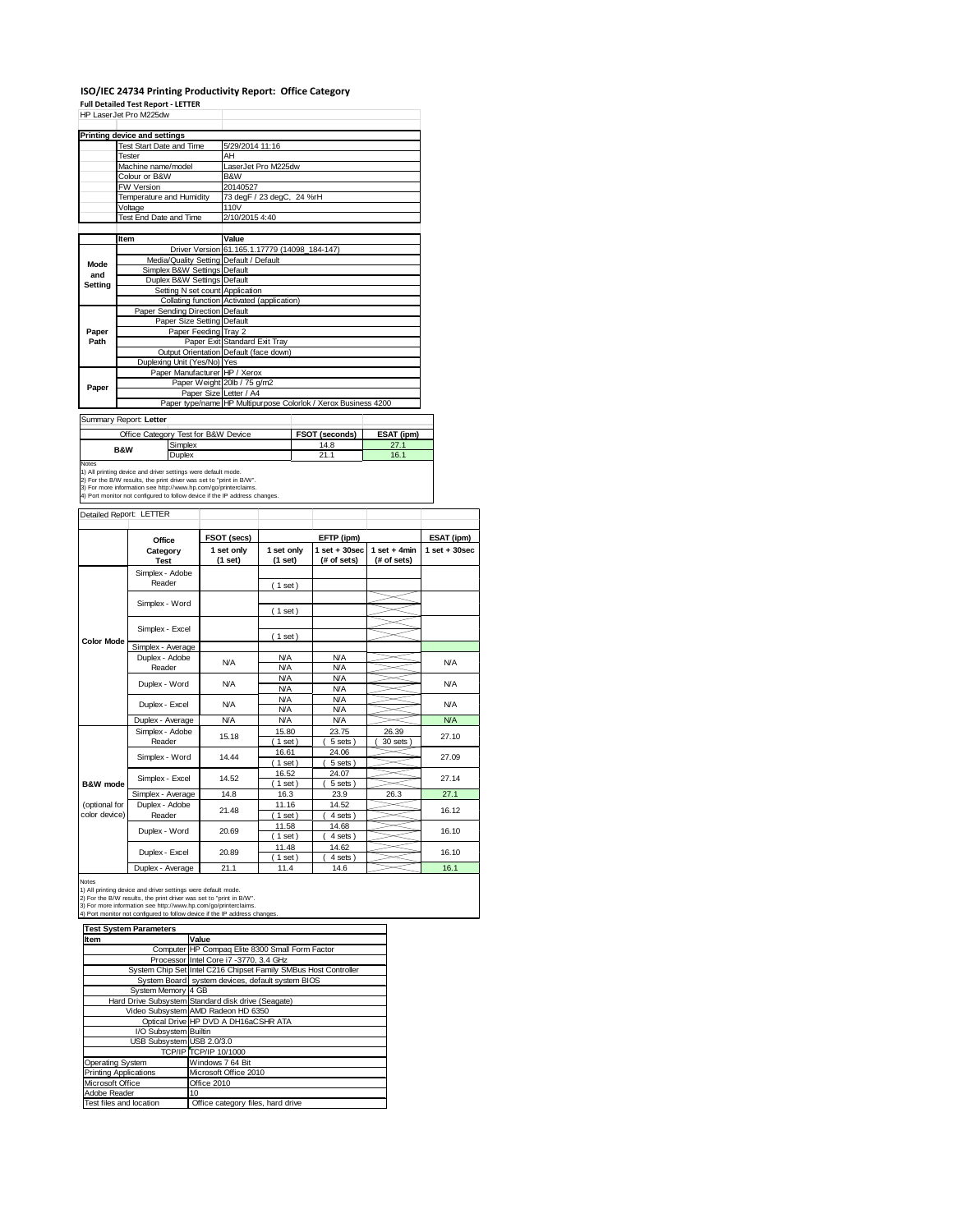#### **ISO/IEC 24734 Printing Productivity Report: Office Category**

|                   | <b>Full Detailed Test Report - LETTER</b>                                                                                            |                                                                |                     |  |                   |                 |                 |  |
|-------------------|--------------------------------------------------------------------------------------------------------------------------------------|----------------------------------------------------------------|---------------------|--|-------------------|-----------------|-----------------|--|
|                   | HP LaserJet Pro M225dw                                                                                                               |                                                                |                     |  |                   |                 |                 |  |
|                   | <b>Printing device and settings</b>                                                                                                  |                                                                |                     |  |                   |                 |                 |  |
|                   | Test Start Date and Time                                                                                                             | 5/29/2014 11:16                                                |                     |  |                   |                 |                 |  |
|                   | Tester                                                                                                                               | AH                                                             |                     |  |                   |                 |                 |  |
|                   | Machine name/model                                                                                                                   |                                                                | LaserJet Pro M225dw |  |                   |                 |                 |  |
|                   | Colour or B&W                                                                                                                        | B&W                                                            |                     |  |                   |                 |                 |  |
|                   | <b>FW Version</b>                                                                                                                    | 20140527                                                       |                     |  |                   |                 |                 |  |
|                   | Temperature and Humidity                                                                                                             | 73 degF / 23 degC, 24 %rH                                      |                     |  |                   |                 |                 |  |
|                   | Voltage                                                                                                                              | 110V                                                           |                     |  |                   |                 |                 |  |
|                   | Test End Date and Time                                                                                                               | 2/10/2015 4:40                                                 |                     |  |                   |                 |                 |  |
|                   |                                                                                                                                      |                                                                |                     |  |                   |                 |                 |  |
|                   | Item                                                                                                                                 | Value                                                          |                     |  |                   |                 |                 |  |
|                   |                                                                                                                                      | Driver Version 61.165.1.17779 (14098_184-147)                  |                     |  |                   |                 |                 |  |
| Mode              |                                                                                                                                      | Media/Quality Setting Default / Default                        |                     |  |                   |                 |                 |  |
| and               | Simplex B&W Settings Default<br>Duplex B&W Settings Default                                                                          |                                                                |                     |  |                   |                 |                 |  |
| Setting           |                                                                                                                                      | Setting N set count Application                                |                     |  |                   |                 |                 |  |
|                   | Collating function                                                                                                                   | Activated (application)                                        |                     |  |                   |                 |                 |  |
|                   | Paper Sending Direction Default                                                                                                      |                                                                |                     |  |                   |                 |                 |  |
|                   |                                                                                                                                      | Paper Size Setting Default                                     |                     |  |                   |                 |                 |  |
| Paper             |                                                                                                                                      | Paper Feeding Tray 2                                           |                     |  |                   |                 |                 |  |
| Path              |                                                                                                                                      | Paper Exit Standard Exit Tray                                  |                     |  |                   |                 |                 |  |
|                   |                                                                                                                                      | Output Orientation Default (face down)                         |                     |  |                   |                 |                 |  |
|                   | Duplexing Unit (Yes/No) Yes                                                                                                          |                                                                |                     |  |                   |                 |                 |  |
|                   |                                                                                                                                      | Paper Manufacturer HP / Xerox                                  |                     |  |                   |                 |                 |  |
| Paper             |                                                                                                                                      | Paper Weight 20lb / 75 g/m2                                    |                     |  |                   |                 |                 |  |
|                   |                                                                                                                                      | Paper Size Letter / A4                                         |                     |  |                   |                 |                 |  |
|                   |                                                                                                                                      | Paper type/name HP Multipurpose Colorlok / Xerox Business 4200 |                     |  |                   |                 |                 |  |
|                   | Summary Report: Letter                                                                                                               |                                                                |                     |  |                   |                 |                 |  |
|                   | Office Category Test for B&W Device                                                                                                  |                                                                |                     |  | FSOT (seconds)    | ESAT (ipm)      |                 |  |
|                   | Simplex                                                                                                                              |                                                                |                     |  | 14.8              | 27.1            |                 |  |
|                   | <b>B&amp;W</b><br>Duplex                                                                                                             |                                                                |                     |  | 21.1              | 16.1            |                 |  |
| Notes             |                                                                                                                                      |                                                                |                     |  |                   |                 |                 |  |
|                   | 1) All printing device and driver settings were default mode.<br>2) For the B/W results, the print driver was set to "print in B/W". |                                                                |                     |  |                   |                 |                 |  |
|                   | 3) For more information see http://www.hp.com/go/printerclaims.                                                                      |                                                                |                     |  |                   |                 |                 |  |
|                   | 4) Port monitor not configured to follow device if the IP address changes.                                                           |                                                                |                     |  |                   |                 |                 |  |
|                   | Detailed Report: LETTER                                                                                                              |                                                                |                     |  |                   |                 |                 |  |
|                   |                                                                                                                                      |                                                                |                     |  |                   |                 |                 |  |
|                   |                                                                                                                                      | FSOT (secs)                                                    |                     |  | EFTP (ipm)        |                 | ESAT (ipm)      |  |
|                   | Office<br>Category                                                                                                                   | 1 set only                                                     | 1 set only          |  | $1$ set $+30$ sec | $1 set + 4 min$ | $1$ set + 30sec |  |
|                   | <b>Test</b>                                                                                                                          | (1 set)                                                        | (1 set)             |  | (# of sets)       | (# of sets)     |                 |  |
|                   | Simplex - Adobe                                                                                                                      |                                                                |                     |  |                   |                 |                 |  |
|                   | Reader                                                                                                                               |                                                                |                     |  |                   |                 |                 |  |
|                   |                                                                                                                                      |                                                                | (1 set)             |  |                   |                 |                 |  |
|                   | Simplex - Word                                                                                                                       |                                                                |                     |  |                   |                 |                 |  |
|                   |                                                                                                                                      |                                                                | (1 set)             |  |                   |                 |                 |  |
|                   | Simplex - Excel                                                                                                                      |                                                                |                     |  |                   |                 |                 |  |
|                   |                                                                                                                                      |                                                                | (1 set)             |  |                   |                 |                 |  |
| <b>Color Mode</b> | Simplex - Average                                                                                                                    |                                                                |                     |  |                   |                 |                 |  |
|                   | Duplex - Adobe                                                                                                                       |                                                                | <b>N/A</b>          |  | <b>N/A</b>        |                 |                 |  |
|                   | Reader                                                                                                                               | <b>N/A</b>                                                     | <b>N/A</b>          |  | <b>N/A</b>        |                 | <b>N/A</b>      |  |
|                   | Duplex - Word                                                                                                                        | <b>N/A</b>                                                     | <b>N/A</b>          |  | <b>N/A</b>        |                 | <b>N/A</b>      |  |
|                   |                                                                                                                                      |                                                                | <b>N/A</b>          |  | <b>N/A</b>        |                 |                 |  |
|                   | Duplex - Excel                                                                                                                       | N/A                                                            | <b>N/A</b>          |  | <b>N/A</b>        |                 | <b>N/A</b>      |  |
|                   |                                                                                                                                      |                                                                | <b>N/A</b>          |  | <b>N/A</b>        |                 |                 |  |
|                   | Duplex - Average                                                                                                                     | <b>N/A</b>                                                     | <b>N/A</b>          |  | <b>N/A</b>        |                 | <b>N/A</b>      |  |
|                   | Simplex - Adobe                                                                                                                      | 15.10                                                          | 15.80               |  | 23.75             | 26.39           | 27.10           |  |

|                                | <b>UILIPIUA</b> RUUDU<br>Reader | 15.18 | $\sim\!\!\sim\!\!\sim$<br>$1$ set) | <u>LUIU</u><br>5 sets | $\sim\!\!\sim\!\!\sim$<br>30 sets | 27.10 |
|--------------------------------|---------------------------------|-------|------------------------------------|-----------------------|-----------------------------------|-------|
|                                | Simplex - Word                  | 14.44 | 16.61<br>$1$ set)                  | 24.06<br>5 sets       |                                   | 27.09 |
| <b>B&amp;W</b> mode            | Simplex - Excel                 | 14.52 | 16.52<br>$1$ set $)$               | 24.07<br>5 sets       |                                   | 27.14 |
|                                | Simplex - Average               | 14.8  | 16.3                               | 23.9                  | 26.3                              | 27.1  |
| (optional for<br>color device) | Duplex - Adobe<br>Reader        | 21.48 | 11.16<br>$1$ set $)$               | 14.52<br>4 sets       |                                   | 16.12 |
|                                | Duplex - Word                   | 20.69 | 11.58<br>$1$ set $)$               | 14.68<br>4 sets       |                                   | 16.10 |
|                                | Duplex - Excel                  | 20.89 | 11.48<br>$1$ set)                  | 14.62<br>4 sets       |                                   | 16.10 |
|                                | Duplex - Average                | 21.1  | 11.4                               | 14.6                  |                                   | 16.1  |

Notes<br>1) All printing device and driver settings were default mode.<br>2) For the B/W results, the print driver was set to "print in B/W".<br>3) For more information see http://www.hp.com/go/printerclaims.<br>4) Port monitor not co

| <b>Test System Parameters</b> |                                                                 |  |  |
|-------------------------------|-----------------------------------------------------------------|--|--|
| Item                          | Value                                                           |  |  |
|                               | Computer HP Compaq Elite 8300 Small Form Factor                 |  |  |
|                               | Processor Intel Core i7 -3770, 3.4 GHz                          |  |  |
|                               | System Chip Set Intel C216 Chipset Family SMBus Host Controller |  |  |
|                               | System Board system devices, default system BIOS                |  |  |
| System Memory 4 GB            |                                                                 |  |  |
|                               | Hard Drive Subsystem Standard disk drive (Seagate)              |  |  |
|                               | Video Subsystem AMD Radeon HD 6350                              |  |  |
|                               | Optical Drive HP DVD A DH16aCSHR ATA                            |  |  |
| I/O Subsystem Builtin         |                                                                 |  |  |
| USB Subsystem USB 2.0/3.0     |                                                                 |  |  |
|                               | <b>TCP/IPITCP/IP 10/1000</b>                                    |  |  |
| Operating System              | Windows 7 64 Bit                                                |  |  |
| <b>Printing Applications</b>  | Microsoft Office 2010                                           |  |  |
| Microsoft Office              | Office 2010                                                     |  |  |
| Adobe Reader                  | 10                                                              |  |  |
| Test files and location       | Office category files, hard drive                               |  |  |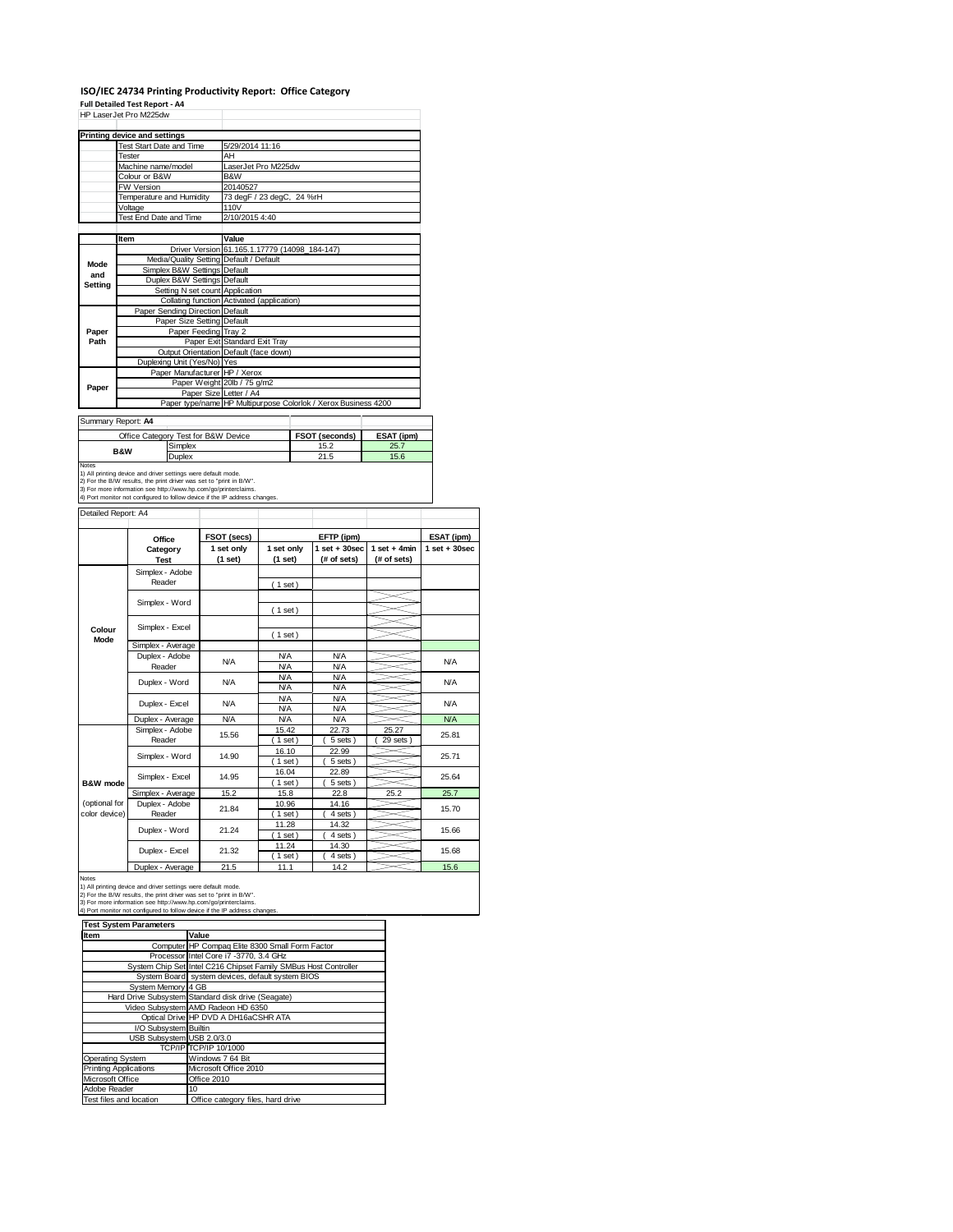#### **ISO/IEC 24734 Printing Productivity Report: Office Category**

|                     | Full Detailed Test Report - A4<br>HP LaserJet Pro M225dw                                                                                                                                                                                                                              |  |                                               |                          |            | ISO/IEC 24734 Printing Productivity Report: Office Category    |                                |                 |
|---------------------|---------------------------------------------------------------------------------------------------------------------------------------------------------------------------------------------------------------------------------------------------------------------------------------|--|-----------------------------------------------|--------------------------|------------|----------------------------------------------------------------|--------------------------------|-----------------|
|                     | <b>Printing device and settings</b>                                                                                                                                                                                                                                                   |  |                                               |                          |            |                                                                |                                |                 |
|                     | Test Start Date and Time                                                                                                                                                                                                                                                              |  |                                               | 5/29/2014 11:16          |            |                                                                |                                |                 |
|                     | Tester                                                                                                                                                                                                                                                                                |  | AΗ                                            |                          |            |                                                                |                                |                 |
|                     | Machine name/model                                                                                                                                                                                                                                                                    |  | LaserJet Pro M225dw                           |                          |            |                                                                |                                |                 |
|                     | Colour or B&W<br>FW Version                                                                                                                                                                                                                                                           |  | B&W<br>20140527                               |                          |            |                                                                |                                |                 |
|                     | Temperature and Humidity                                                                                                                                                                                                                                                              |  | 73 degF / 23 degC, 24 %rH                     |                          |            |                                                                |                                |                 |
|                     | Voltage                                                                                                                                                                                                                                                                               |  | 110V                                          |                          |            |                                                                |                                |                 |
|                     | Test End Date and Time                                                                                                                                                                                                                                                                |  | 2/10/2015 4:40                                |                          |            |                                                                |                                |                 |
|                     | Item                                                                                                                                                                                                                                                                                  |  | Value                                         |                          |            |                                                                |                                |                 |
|                     |                                                                                                                                                                                                                                                                                       |  | Driver Version 61.165.1.17779 (14098_184-147) |                          |            |                                                                |                                |                 |
| Mode                | Media/Quality Setting Default / Default                                                                                                                                                                                                                                               |  |                                               |                          |            |                                                                |                                |                 |
| and                 | Simplex B&W Settings Default<br>Duplex B&W Settings                                                                                                                                                                                                                                   |  | Default                                       |                          |            |                                                                |                                |                 |
| <b>Setting</b>      | Setting N set count Application                                                                                                                                                                                                                                                       |  |                                               |                          |            |                                                                |                                |                 |
|                     | Collating function Activated (application)                                                                                                                                                                                                                                            |  |                                               |                          |            |                                                                |                                |                 |
|                     | Paper Sending Direction Default                                                                                                                                                                                                                                                       |  |                                               |                          |            |                                                                |                                |                 |
| Paper               | Paper Size Setting<br>Paper Feeding Tray 2                                                                                                                                                                                                                                            |  | Default                                       |                          |            |                                                                |                                |                 |
| Path                |                                                                                                                                                                                                                                                                                       |  | Paper Exit Standard Exit Tray                 |                          |            |                                                                |                                |                 |
|                     | Output Orientation Default (face down)                                                                                                                                                                                                                                                |  |                                               |                          |            |                                                                |                                |                 |
|                     | Duplexing Unit (Yes/No) Yes<br>Paper Manufacturer HP / Xerox                                                                                                                                                                                                                          |  |                                               |                          |            |                                                                |                                |                 |
|                     |                                                                                                                                                                                                                                                                                       |  | Paper Weight 20lb / 75 g/m2                   |                          |            |                                                                |                                |                 |
| Paper               |                                                                                                                                                                                                                                                                                       |  | Paper Size Letter / A4                        |                          |            |                                                                |                                |                 |
|                     |                                                                                                                                                                                                                                                                                       |  |                                               |                          |            | Paper type/name HP Multipurpose Colorlok / Xerox Business 4200 |                                |                 |
| Summary Report: A4  |                                                                                                                                                                                                                                                                                       |  |                                               |                          |            |                                                                |                                |                 |
|                     | Office Category Test for B&W Device                                                                                                                                                                                                                                                   |  |                                               |                          |            | FSOT (seconds)                                                 | ESAT (ipm)                     |                 |
|                     | Simplex<br><b>B&amp;W</b>                                                                                                                                                                                                                                                             |  |                                               |                          |            | 15.2                                                           | 25.7                           |                 |
| Notes               | Duplex                                                                                                                                                                                                                                                                                |  |                                               |                          |            | 21.5                                                           | 15.6                           |                 |
|                     | 1) All printing device and driver settings were default mode.<br>2) For the B/W results, the print driver was set to "print in B/W".<br>3) For more information see http://www.hp.com/go/printerclaims.<br>4) Port monitor not configured to follow device if the IP address changes. |  |                                               |                          |            |                                                                |                                |                 |
| Detailed Report: A4 |                                                                                                                                                                                                                                                                                       |  |                                               |                          |            |                                                                |                                |                 |
|                     |                                                                                                                                                                                                                                                                                       |  |                                               |                          |            |                                                                |                                |                 |
|                     | Office                                                                                                                                                                                                                                                                                |  | FSOT (secs)                                   |                          | EFTP (ipm) |                                                                |                                | ESAT (ipm)      |
|                     | Category                                                                                                                                                                                                                                                                              |  | 1 set only<br>(1 set)                         | 1 set only<br>(1 set)    |            | $1$ set $+30$ sec<br>(# of sets)                               | $1 set + 4 min$<br>(# of sets) | $1$ set + 30sec |
|                     | Test<br>Simplex - Adobe                                                                                                                                                                                                                                                               |  |                                               |                          |            |                                                                |                                |                 |
|                     | Reader                                                                                                                                                                                                                                                                                |  |                                               | (1 set)                  |            |                                                                |                                |                 |
|                     |                                                                                                                                                                                                                                                                                       |  |                                               |                          |            |                                                                |                                |                 |
|                     | Simplex - Word                                                                                                                                                                                                                                                                        |  |                                               | (1 set)                  |            |                                                                |                                |                 |
|                     |                                                                                                                                                                                                                                                                                       |  |                                               |                          |            |                                                                |                                |                 |
| Colour<br>Mode      | Simplex - Excel                                                                                                                                                                                                                                                                       |  |                                               | (1 set)                  |            |                                                                |                                |                 |
|                     | Simplex - Average                                                                                                                                                                                                                                                                     |  |                                               |                          |            |                                                                |                                |                 |
|                     | Duplex - Adobe<br>Reader                                                                                                                                                                                                                                                              |  | N/A                                           | <b>N/A</b><br><b>N/A</b> |            | <b>N/A</b><br><b>N/A</b>                                       |                                | <b>N/A</b>      |
|                     |                                                                                                                                                                                                                                                                                       |  |                                               | <b>N/A</b>               |            | <b>N/A</b>                                                     |                                |                 |
|                     | Duplex - Word                                                                                                                                                                                                                                                                         |  | ΝA.                                           |                          |            |                                                                |                                | <b>N/A</b>      |
|                     |                                                                                                                                                                                                                                                                                       |  |                                               | <b>N/A</b>               |            | ΝA                                                             |                                |                 |
|                     | Duplex - Excel                                                                                                                                                                                                                                                                        |  | N/A                                           | <b>N/A</b>               |            | <b>N/A</b>                                                     |                                | <b>N/A</b>      |
|                     |                                                                                                                                                                                                                                                                                       |  |                                               | ΝA                       |            | <b>N/A</b>                                                     |                                |                 |
|                     | Duplex - Average<br>Simplex - Adobe                                                                                                                                                                                                                                                   |  | N/A                                           | <b>N/A</b><br>15.42      |            | <b>N/A</b><br>22.73                                            | 25.27                          | <b>N/A</b>      |
|                     | Reader                                                                                                                                                                                                                                                                                |  | 15.56                                         | $1$ set                  |            | 5 sets                                                         | 29 sets                        | 25.81           |
|                     |                                                                                                                                                                                                                                                                                       |  | 14.90                                         | 16.10                    |            | 22.99                                                          |                                | 25.71           |
|                     | Simplex - Word                                                                                                                                                                                                                                                                        |  |                                               | $1$ set)                 |            | 5 sets                                                         |                                |                 |
|                     | Simplex - Excel                                                                                                                                                                                                                                                                       |  | 14.95                                         | 16.04                    |            | 22.89                                                          |                                | 25.64           |
| <b>B&amp;W</b> mode | Simplex - Average                                                                                                                                                                                                                                                                     |  | 15.2                                          | (1 set)<br><u>15.8</u>   |            | 5 sets)<br>22.8                                                | 25.2                           | 25.7            |
| (optional for       | Duplex - Adobe                                                                                                                                                                                                                                                                        |  | 21.84                                         | 10.96                    |            | 14.16                                                          |                                | 15.70           |
| color device)       | Reader                                                                                                                                                                                                                                                                                |  |                                               | 1 set                    |            | 4 sets                                                         |                                |                 |
|                     | Duplex - Word                                                                                                                                                                                                                                                                         |  | 21.24                                         | 11.28<br>$1$ set         |            | 14.32                                                          |                                | 15.66           |
|                     |                                                                                                                                                                                                                                                                                       |  |                                               | 11.24                    |            | 4 sets<br><u>14.30</u>                                         |                                |                 |
|                     | Duplex - Excel                                                                                                                                                                                                                                                                        |  | 21.32                                         | 1 set                    |            | 4 sets                                                         |                                | 15.68           |
| Notes               | Duplex - Average                                                                                                                                                                                                                                                                      |  | 21.5                                          | 11.1                     |            | 14.2                                                           |                                | 15.6            |

| <b>Test System Parameters</b> |                                                                 |  |  |
|-------------------------------|-----------------------------------------------------------------|--|--|
| Item                          | Value                                                           |  |  |
|                               | Computer HP Compaq Elite 8300 Small Form Factor                 |  |  |
|                               | Processor Intel Core i7 -3770, 3.4 GHz                          |  |  |
|                               | System Chip Set Intel C216 Chipset Family SMBus Host Controller |  |  |
|                               | System Board system devices, default system BIOS                |  |  |
| System Memory 4 GB            |                                                                 |  |  |
|                               | Hard Drive Subsystem Standard disk drive (Seagate)              |  |  |
|                               | Video Subsystem AMD Radeon HD 6350                              |  |  |
|                               | Optical Drive HP DVD A DH16aCSHR ATA                            |  |  |
| I/O Subsystem Builtin         |                                                                 |  |  |
| USB Subsystem USB 2.0/3.0     |                                                                 |  |  |
|                               | TCP/IP TCP/IP 10/1000                                           |  |  |
| <b>Operating System</b>       | Windows 7 64 Bit                                                |  |  |
| <b>Printing Applications</b>  | Microsoft Office 2010                                           |  |  |
| Microsoft Office              | Office 2010                                                     |  |  |
| Adobe Reader                  | 10                                                              |  |  |
| Test files and location       | Office category files, hard drive                               |  |  |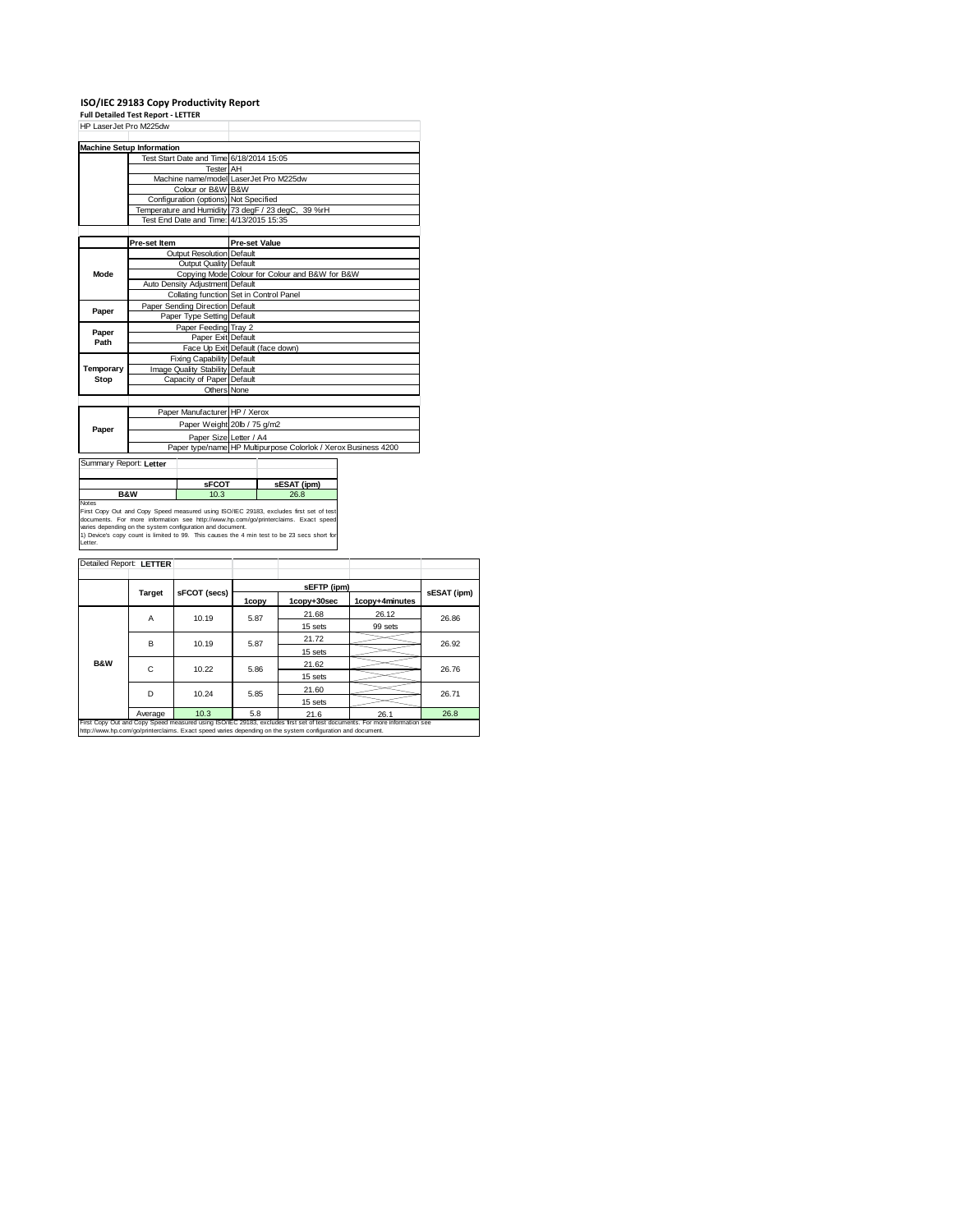### **ISO/IEC 29183 Copy Productivity Report Full Detailed Test Report ‐ LETTER**

|                        | HP LaserJet Pro M225dw                  |                                          |                             |                                                    |                                                                |  |
|------------------------|-----------------------------------------|------------------------------------------|-----------------------------|----------------------------------------------------|----------------------------------------------------------------|--|
|                        | <b>Machine Setup Information</b>        |                                          |                             |                                                    |                                                                |  |
|                        |                                         | Test Start Date and Time 6/18/2014 15:05 |                             |                                                    |                                                                |  |
|                        |                                         | <b>Tester</b> AH                         |                             |                                                    |                                                                |  |
|                        |                                         | Machine name/model LaserJet Pro M225dw   |                             |                                                    |                                                                |  |
|                        | Colour or B&W B&W                       |                                          |                             |                                                    |                                                                |  |
|                        |                                         | Configuration (options) Not Specified    |                             |                                                    |                                                                |  |
|                        |                                         |                                          |                             | Temperature and Humidity 73 degF / 23 degC, 39 %rH |                                                                |  |
|                        |                                         | Test End Date and Time: 4/13/2015 15:35  |                             |                                                    |                                                                |  |
|                        |                                         |                                          |                             |                                                    |                                                                |  |
|                        | Pre-set Item                            |                                          | <b>Pre-set Value</b>        |                                                    |                                                                |  |
|                        |                                         | Outout Resolution Default                |                             |                                                    |                                                                |  |
|                        | Output Quality Default                  |                                          |                             |                                                    |                                                                |  |
| Mode                   |                                         |                                          |                             | Copying Mode Colour for Colour and B&W for B&W     |                                                                |  |
|                        | Auto Density Adjustment Default         |                                          |                             |                                                    |                                                                |  |
|                        | Collating function Set in Control Panel |                                          |                             |                                                    |                                                                |  |
| Paper                  |                                         | Paper Sending Direction Default          |                             |                                                    |                                                                |  |
|                        | Paper Type Setting Default              |                                          |                             |                                                    |                                                                |  |
|                        |                                         | Paper Feeding Tray 2                     |                             |                                                    |                                                                |  |
| Paper<br>Path          | Paper Exit Default                      |                                          |                             |                                                    |                                                                |  |
|                        |                                         | Face Up Exit Default (face down)         |                             |                                                    |                                                                |  |
|                        |                                         | Fixing Capability Default                |                             |                                                    |                                                                |  |
| Temporary              |                                         | Image Quality Stability Default          |                             |                                                    |                                                                |  |
| Stop                   | Capacity of Paper Default               |                                          |                             |                                                    |                                                                |  |
|                        |                                         | Others None                              |                             |                                                    |                                                                |  |
|                        |                                         |                                          |                             |                                                    |                                                                |  |
|                        |                                         | Paper Manufacturer HP / Xerox            |                             |                                                    |                                                                |  |
| Paper                  |                                         |                                          | Paper Weight 20lb / 75 g/m2 |                                                    |                                                                |  |
|                        |                                         | Paper Size Letter / A4                   |                             |                                                    |                                                                |  |
|                        |                                         |                                          |                             |                                                    | Paper type/name HP Multipurpose Colorlok / Xerox Business 4200 |  |
| Summary Report: Letter |                                         |                                          |                             |                                                    |                                                                |  |
|                        |                                         |                                          |                             |                                                    |                                                                |  |
|                        |                                         | <b>sFCOT</b>                             |                             | sESAT (ipm)                                        |                                                                |  |
| <b>B&amp;W</b><br>10.3 |                                         |                                          | 26.8                        |                                                    |                                                                |  |

| Detailed Report: LETTER |         |              |       |                                                                                                            |                                                                                                                            |             |       |
|-------------------------|---------|--------------|-------|------------------------------------------------------------------------------------------------------------|----------------------------------------------------------------------------------------------------------------------------|-------------|-------|
|                         | Target  | sFCOT (secs) |       | sEFTP (ipm)                                                                                                |                                                                                                                            | sESAT (ipm) |       |
|                         |         |              | 1copy | 1copy+30sec                                                                                                | 1copy+4minutes                                                                                                             |             |       |
|                         | Α       | 10.19        | 5.87  | 21.68                                                                                                      | 26.12                                                                                                                      | 26.86       |       |
|                         |         |              |       | 15 sets                                                                                                    | 99 sets                                                                                                                    |             |       |
|                         | B       |              | 10.19 | 5.87                                                                                                       | 21.72                                                                                                                      |             | 26.92 |
|                         |         |              |       | 15 sets                                                                                                    |                                                                                                                            |             |       |
| <b>B&amp;W</b>          | C       | 10.22        | 5.86  | 21.62                                                                                                      |                                                                                                                            | 26.76       |       |
|                         |         |              |       | 15 sets                                                                                                    |                                                                                                                            |             |       |
|                         | D       | 10.24        | 5.85  | 21.60                                                                                                      |                                                                                                                            | 26.71       |       |
|                         |         |              |       | 15 sets                                                                                                    |                                                                                                                            |             |       |
|                         | Average | 10.3         | 5.8   | 21.6                                                                                                       | 26.1                                                                                                                       | 26.8        |       |
|                         |         |              |       | http://www.hp.com/go/printerclaims. Exact speed varies depending on the system configuration and document. | First Copy Out and Copy Speed measured using ISO/IEC 29183, excludes first set of test documents. For more information see |             |       |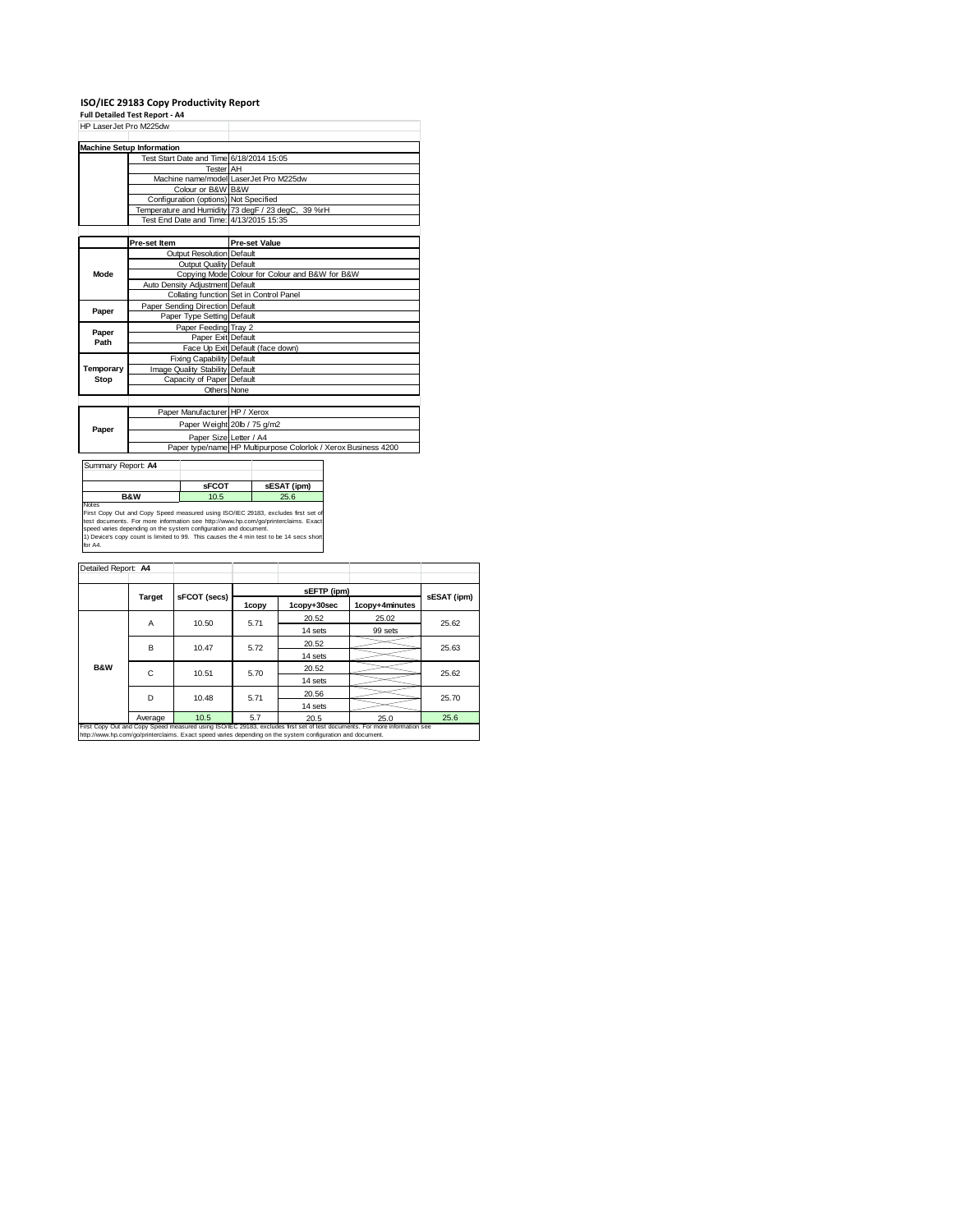### **ISO/IEC 29183 Copy Productivity Report Full Detailed Test Report ‐ A4**

| HP LaserJet Pro M225dw |                                          |                                                                |  |  |  |
|------------------------|------------------------------------------|----------------------------------------------------------------|--|--|--|
|                        | <b>Machine Setup Information</b>         |                                                                |  |  |  |
|                        | Test Start Date and Time 6/18/2014 15:05 |                                                                |  |  |  |
|                        | Tester AH                                |                                                                |  |  |  |
|                        |                                          | Machine name/model LaserJet Pro M225dw                         |  |  |  |
|                        | Colour or B&W B&W                        |                                                                |  |  |  |
|                        | Configuration (options) Not Specified    |                                                                |  |  |  |
|                        |                                          | Temperature and Humidity 73 degF / 23 degC, 39 %rH             |  |  |  |
|                        | Test End Date and Time: 4/13/2015 15:35  |                                                                |  |  |  |
|                        |                                          |                                                                |  |  |  |
|                        | Pre-set Item                             | <b>Pre-set Value</b>                                           |  |  |  |
|                        | Output Resolution Default                |                                                                |  |  |  |
|                        | Output Quality Default                   |                                                                |  |  |  |
| Mode                   |                                          | Copying Mode Colour for Colour and B&W for B&W                 |  |  |  |
|                        | Auto Density Adjustment Default          |                                                                |  |  |  |
|                        |                                          | Collating function Set in Control Panel                        |  |  |  |
| Paper                  | Paper Sending Direction Default          |                                                                |  |  |  |
|                        | Paper Type Setting Default               |                                                                |  |  |  |
| Paper                  | Paper Feeding Tray 2                     |                                                                |  |  |  |
| Path                   | Paper Exit Default                       |                                                                |  |  |  |
|                        |                                          | Face Up Exit Default (face down)                               |  |  |  |
|                        | Fixing Capability Default                |                                                                |  |  |  |
| Temporary              | Image Quality Stability Default          |                                                                |  |  |  |
| Stop                   | Capacity of Paper Default                |                                                                |  |  |  |
|                        | Others None                              |                                                                |  |  |  |
|                        |                                          |                                                                |  |  |  |
|                        | Paper Manufacturer HP / Xerox            |                                                                |  |  |  |
|                        |                                          | Paper Weight 20lb / 75 g/m2                                    |  |  |  |
| Paper                  | Paper Size Letter / A4                   |                                                                |  |  |  |
|                        |                                          | Paper type/name HP Multipurpose Colorlok / Xerox Business 4200 |  |  |  |
|                        |                                          |                                                                |  |  |  |
| Summary Report: A4     |                                          |                                                                |  |  |  |
|                        |                                          |                                                                |  |  |  |



| Detailed Report: A4 |                                                                                                                                                                                                                                          |              |       |             |                |             |  |
|---------------------|------------------------------------------------------------------------------------------------------------------------------------------------------------------------------------------------------------------------------------------|--------------|-------|-------------|----------------|-------------|--|
|                     |                                                                                                                                                                                                                                          |              |       | sEFTP (ipm) |                |             |  |
|                     | Target                                                                                                                                                                                                                                   | sFCOT (secs) | 1copy | 1copy+30sec | 1copy+4minutes | sESAT (ipm) |  |
|                     | Α                                                                                                                                                                                                                                        | 10.50        | 5.71  | 20.52       | 25.02          | 25.62       |  |
|                     |                                                                                                                                                                                                                                          |              |       | 14 sets     | 99 sets        |             |  |
|                     | в                                                                                                                                                                                                                                        | 10.47        | 5.72  | 20.52       |                | 25.63       |  |
|                     |                                                                                                                                                                                                                                          |              |       | 14 sets     |                |             |  |
| <b>B&amp;W</b>      | C                                                                                                                                                                                                                                        | 10.51        | 5.70  | 20.52       |                | 25.62       |  |
|                     |                                                                                                                                                                                                                                          |              |       | 14 sets     |                |             |  |
|                     | D                                                                                                                                                                                                                                        | 10.48        | 5.71  | 20.56       |                | 25.70       |  |
|                     |                                                                                                                                                                                                                                          |              |       | 14 sets     |                |             |  |
|                     | Average                                                                                                                                                                                                                                  | 10.5         | 5.7   | 20.5        | 25.0           | 25.6        |  |
|                     | First Copy Out and Copy Speed measured using ISO/IEC 29183, excludes first set of test documents. For more information see<br>http://www.hp.com/go/printerclaims. Exact speed varies depending on the system configuration and document. |              |       |             |                |             |  |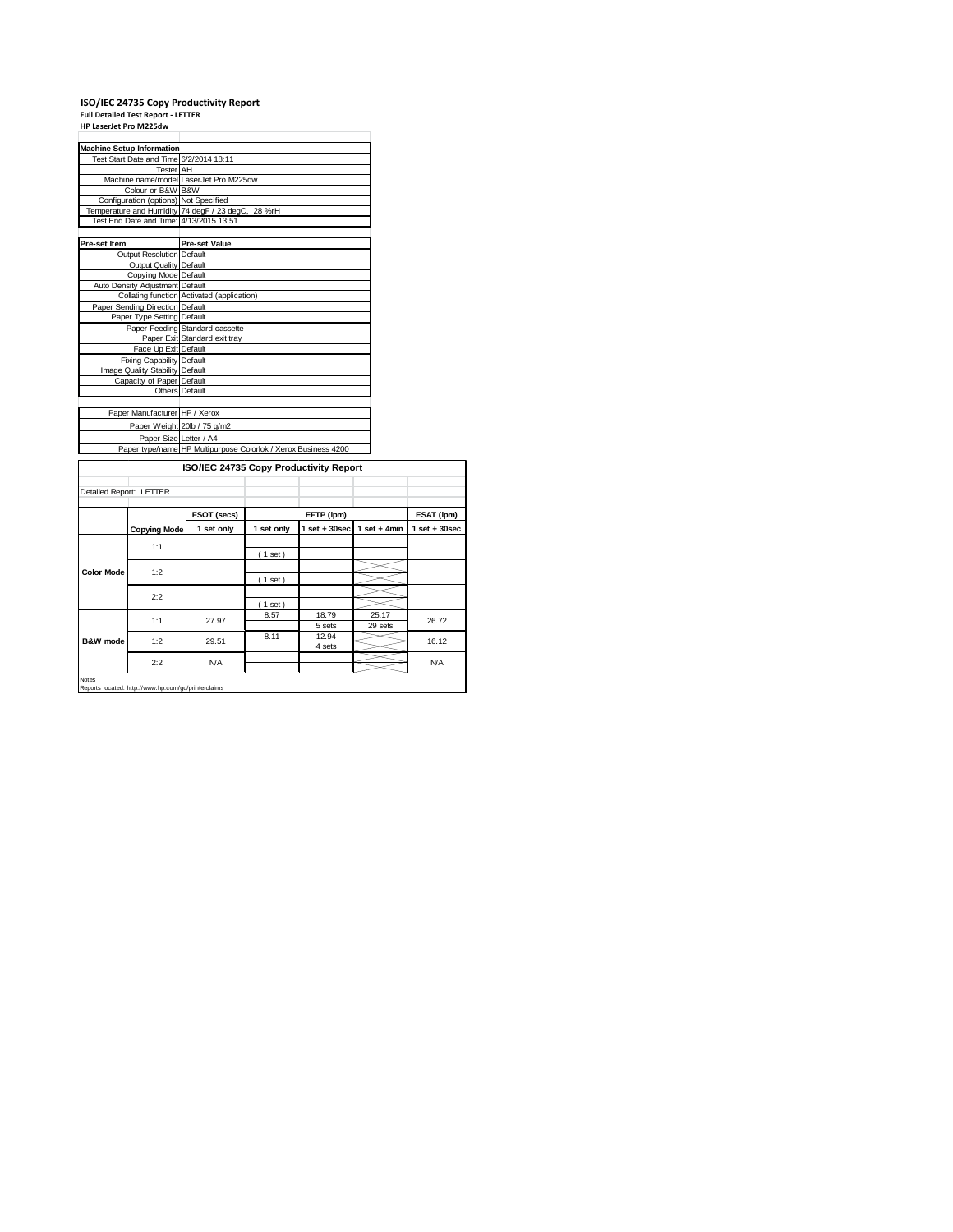# **ISO/IEC 24735 Copy Productivity Report Full Detailed Test Report ‐ LETTER HP LaserJet Pro M225dw**

| <b>Machine Setup Information</b>        |                                                                |
|-----------------------------------------|----------------------------------------------------------------|
| Test Start Date and Time 6/2/2014 18:11 |                                                                |
| <b>Tester</b> AH                        |                                                                |
|                                         | Machine name/model LaserJet Pro M225dw                         |
| Colour or B&W B&W                       |                                                                |
| Configuration (options) Not Specified   |                                                                |
|                                         | Temperature and Humidity 74 degF / 23 degC, 28 %rH             |
| Test End Date and Time: 4/13/2015 13:51 |                                                                |
|                                         |                                                                |
| Pre-set Item                            | <b>Pre-set Value</b>                                           |
| Output Resolution Default               |                                                                |
| Output Quality Default                  |                                                                |
| Copying Mode Default                    |                                                                |
| Auto Density Adjustment Default         |                                                                |
|                                         | Collating function Activated (application)                     |
| Paper Sending Direction Default         |                                                                |
| Paper Type Setting Default              |                                                                |
|                                         | Paper Feeding Standard cassette                                |
|                                         | Paper Exit Standard exit tray                                  |
| Face Up Exit Default                    |                                                                |
| Fixing Capability Default               |                                                                |
| Image Quality Stability Default         |                                                                |
| Capacity of Paper Default               |                                                                |
|                                         | Others Default                                                 |
|                                         |                                                                |
| Paper Manufacturer HP / Xerox           |                                                                |
|                                         | Paper Weight 20lb / 75 g/m2                                    |
| Paper Size Letter / A4                  |                                                                |
|                                         | Paper type/name HP Multipurpose Colorlok / Xerox Business 4200 |
|                                         | ISO/IEC 24735 Copy Productivity Report                         |

|                         | <b>ISO/IEC 24733 COPY FIGURERIVILY REPORT</b> |             |            |                 |                  |                 |
|-------------------------|-----------------------------------------------|-------------|------------|-----------------|------------------|-----------------|
| Detailed Report: LETTER |                                               |             |            |                 |                  |                 |
|                         |                                               | FSOT (secs) |            | EFTP (ipm)      |                  | ESAT (ipm)      |
|                         | <b>Copying Mode</b>                           | 1 set only  | 1 set only | $1$ set + 30sec | $1$ set + 4min   | $1$ set + 30sec |
|                         | 1:1                                           |             | (1 set)    |                 |                  |                 |
| <b>Color Mode</b>       | 1:2                                           |             | (1 set)    |                 |                  |                 |
|                         | 2:2                                           |             | (1 set)    |                 |                  |                 |
|                         | 1:1                                           | 27.97       | 8.57       | 18.79<br>5 sets | 25.17<br>29 sets | 26.72           |
| B&W mode                | 1:2                                           | 29.51       | 8.11       | 12.94<br>4 sets |                  | 16.12           |
|                         | 2:2                                           | <b>N/A</b>  |            |                 |                  | <b>N/A</b>      |

Notes Reports located: http://www.hp.com/go/printerclaims